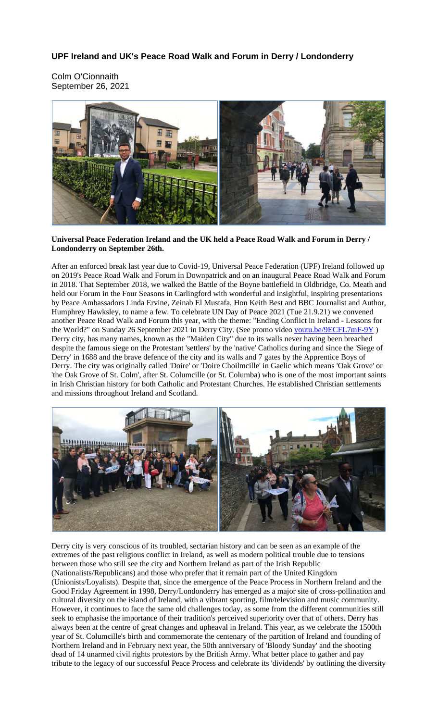## **UPF Ireland and UK's Peace Road Walk and Forum in Derry / Londonderry**

Colm O'Cionnaith September 26, 2021



## **Universal Peace Federation Ireland and the UK held a Peace Road Walk and Forum in Derry / Londonderry on September 26th.**

After an enforced break last year due to Covid-19, Universal Peace Federation (UPF) Ireland followed up on 2019's Peace Road Walk and Forum in Downpatrick and on an inaugural Peace Road Walk and Forum in 2018. That September 2018, we walked the Battle of the Boyne battlefield in Oldbridge, Co. Meath and held our Forum in the Four Seasons in Carlingford with wonderful and insightful, inspiring presentations by Peace Ambassadors Linda Ervine, Zeinab El Mustafa, Hon Keith Best and BBC Journalist and Author, Humphrey Hawksley, to name a few. To celebrate UN Day of Peace 2021 (Tue 21.9.21) we convened another Peace Road Walk and Forum this year, with the theme: "Ending Conflict in Ireland - Lessons for the World?" on Sunday 26 September 2021 in Derry City. (See promo video youtu.be/9ECFL7mF-9Y) Derry city, has many names, known as the "Maiden City" due to its walls never having been breached despite the famous siege on the Protestant 'settlers' by the 'native' Catholics during and since the 'Siege of Derry' in 1688 and the brave defence of the city and its walls and 7 gates by the Apprentice Boys of Derry. The city was originally called 'Doire' or 'Doire Choilmcille' in Gaelic which means 'Oak Grove' or 'the Oak Grove of St. Colm', after St. Columcille (or St. Columba) who is one of the most important saints in Irish Christian history for both Catholic and Protestant Churches. He established Christian settlements and missions throughout Ireland and Scotland.



Derry city is very conscious of its troubled, sectarian history and can be seen as an example of the extremes of the past religious conflict in Ireland, as well as modern political trouble due to tensions between those who still see the city and Northern Ireland as part of the Irish Republic (Nationalists/Republicans) and those who prefer that it remain part of the United Kingdom (Unionists/Loyalists). Despite that, since the emergence of the Peace Process in Northern Ireland and the Good Friday Agreement in 1998, Derry/Londonderry has emerged as a major site of cross-pollination and cultural diversity on the island of Ireland, with a vibrant sporting, film/television and music community. However, it continues to face the same old challenges today, as some from the different communities still seek to emphasise the importance of their tradition's perceived superiority over that of others. Derry has always been at the centre of great changes and upheaval in Ireland. This year, as we celebrate the 1500th year of St. Columcille's birth and commemorate the centenary of the partition of Ireland and founding of Northern Ireland and in February next year, the 50th anniversary of 'Bloody Sunday' and the shooting dead of 14 unarmed civil rights protestors by the British Army. What better place to gather and pay tribute to the legacy of our successful Peace Process and celebrate its 'dividends' by outlining the diversity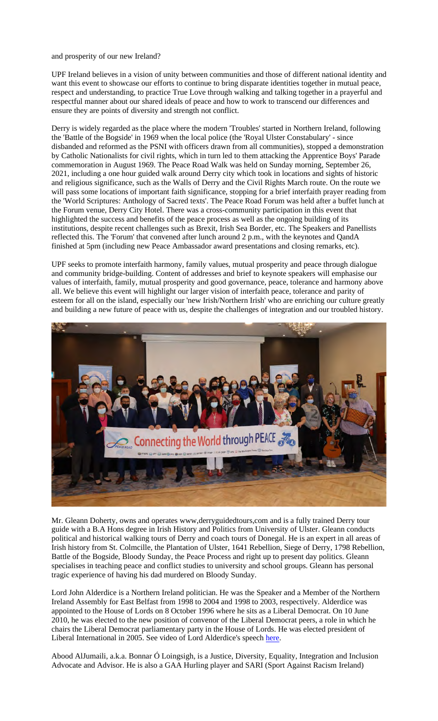and prosperity of our new Ireland?

UPF Ireland believes in a vision of unity between communities and those of different national identity and want this event to showcase our efforts to continue to bring disparate identities together in mutual peace, respect and understanding, to practice True Love through walking and talking together in a prayerful and respectful manner about our shared ideals of peace and how to work to transcend our differences and ensure they are points of diversity and strength not conflict.

Derry is widely regarded as the place where the modern 'Troubles' started in Northern Ireland, following the 'Battle of the Bogside' in 1969 when the local police (the 'Royal Ulster Constabulary' - since disbanded and reformed as the PSNI with officers drawn from all communities), stopped a demonstration by Catholic Nationalists for civil rights, which in turn led to them attacking the Apprentice Boys' Parade commemoration in August 1969. The Peace Road Walk was held on Sunday morning, September 26, 2021, including a one hour guided walk around Derry city which took in locations and sights of historic and religious significance, such as the Walls of Derry and the Civil Rights March route. On the route we will pass some locations of important faith significance, stopping for a brief interfaith prayer reading from the 'World Scriptures: Anthology of Sacred texts'. The Peace Road Forum was held after a buffet lunch at the Forum venue, Derry City Hotel. There was a cross-community participation in this event that highlighted the success and benefits of the peace process as well as the ongoing building of its institutions, despite recent challenges such as Brexit, Irish Sea Border, etc. The Speakers and Panellists reflected this. The 'Forum' that convened after lunch around 2 p.m., with the keynotes and QandA finished at 5pm (including new Peace Ambassador award presentations and closing remarks, etc).

UPF seeks to promote interfaith harmony, family values, mutual prosperity and peace through dialogue and community bridge-building. Content of addresses and brief to keynote speakers will emphasise our values of interfaith, family, mutual prosperity and good governance, peace, tolerance and harmony above all. We believe this event will highlight our larger vision of interfaith peace, tolerance and parity of esteem for all on the island, especially our 'new Irish/Northern Irish' who are enriching our culture greatly and building a new future of peace with us, despite the challenges of integration and our troubled history.



Mr. Gleann Doherty, owns and operates www,derryguidedtours,com and is a fully trained Derry tour guide with a B.A Hons degree in Irish History and Politics from University of Ulster. Gleann conducts political and historical walking tours of Derry and coach tours of Donegal. He is an expert in all areas of Irish history from St. Colmcille, the Plantation of Ulster, 1641 Rebellion, Siege of Derry, 1798 Rebellion, Battle of the Bogside, Bloody Sunday, the Peace Process and right up to present day politics. Gleann specialises in teaching peace and conflict studies to university and school groups. Gleann has personal tragic experience of having his dad murdered on Bloody Sunday.

Lord John Alderdice is a Northern Ireland politician. He was the Speaker and a Member of the Northern Ireland Assembly for East Belfast from 1998 to 2004 and 1998 to 2003, respectively. Alderdice was appointed to the House of Lords on 8 October 1996 where he sits as a Liberal Democrat. On 10 June 2010, he was elected to the new position of convenor of the Liberal Democrat peers, a role in which he chairs the Liberal Democrat parliamentary party in the House of Lords. He was elected president of Liberal International in 2005. See video of Lord Alderdice's speech here.

Abood AlJumaili, a.k.a. Bonnar Ó Loingsigh, is a Justice, Diversity, Equality, Integration and Inclusion Advocate and Advisor. He is also a GAA Hurling player and SARI (Sport Against Racism Ireland)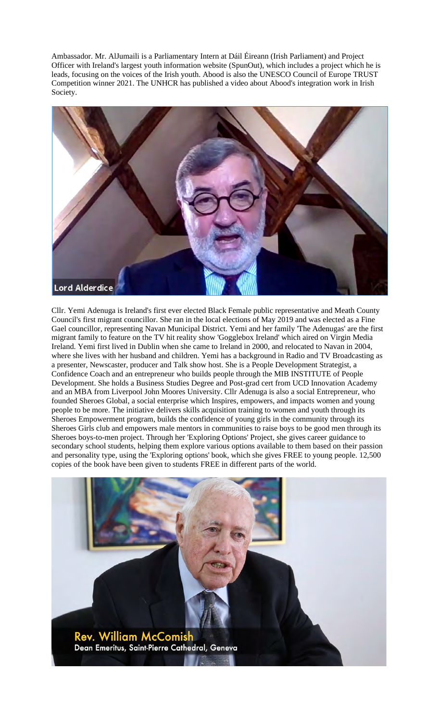Ambassador. Mr. AlJumaili is a Parliamentary Intern at Dáil Éireann (Irish Parliament) and Project Officer with Ireland's largest youth information website (SpunOut), which includes a project which he is leads, focusing on the voices of the Irish youth. Abood is also the UNESCO Council of Europe TRUST Competition winner 2021. The UNHCR has published a video about Abood's integration work in Irish Society.



Cllr. Yemi Adenuga is Ireland's first ever elected Black Female public representative and Meath County Council's first migrant councillor. She ran in the local elections of May 2019 and was elected as a Fine Gael councillor, representing Navan Municipal District. Yemi and her family 'The Adenugas' are the first migrant family to feature on the TV hit reality show 'Gogglebox Ireland' which aired on Virgin Media Ireland. Yemi first lived in Dublin when she came to Ireland in 2000, and relocated to Navan in 2004, where she lives with her husband and children. Yemi has a background in Radio and TV Broadcasting as a presenter, Newscaster, producer and Talk show host. She is a People Development Strategist, a Confidence Coach and an entrepreneur who builds people through the MIB INSTITUTE of People Development. She holds a Business Studies Degree and Post-grad cert from UCD Innovation Academy and an MBA from Liverpool John Moores University. Cllr Adenuga is also a social Entrepreneur, who founded Sheroes Global, a social enterprise which Inspires, empowers, and impacts women and young people to be more. The initiative delivers skills acquisition training to women and youth through its Sheroes Empowerment program, builds the confidence of young girls in the community through its Sheroes Girls club and empowers male mentors in communities to raise boys to be good men through its Sheroes boys-to-men project. Through her 'Exploring Options' Project, she gives career guidance to secondary school students, helping them explore various options available to them based on their passion and personality type, using the 'Exploring options' book, which she gives FREE to young people. 12,500 copies of the book have been given to students FREE in different parts of the world.